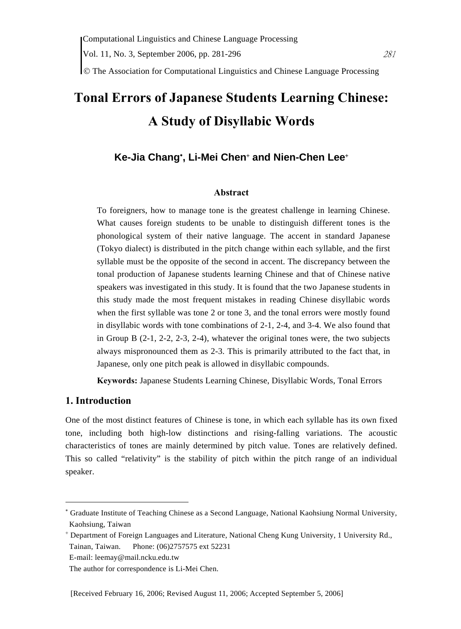© The Association for Computational Linguistics and Chinese Language Processing

# **Tonal Errors of Japanese Students Learning Chinese: A Study of Disyllabic Words**

## **Ke-Jia Chang**<sup>∗</sup> **, Li-Mei Chen**<sup>+</sup>  **and Nien-Chen Lee**<sup>+</sup>

#### **Abstract**

To foreigners, how to manage tone is the greatest challenge in learning Chinese. What causes foreign students to be unable to distinguish different tones is the phonological system of their native language. The accent in standard Japanese (Tokyo dialect) is distributed in the pitch change within each syllable, and the first syllable must be the opposite of the second in accent. The discrepancy between the tonal production of Japanese students learning Chinese and that of Chinese native speakers was investigated in this study. It is found that the two Japanese students in this study made the most frequent mistakes in reading Chinese disyllabic words when the first syllable was tone 2 or tone 3, and the tonal errors were mostly found in disyllabic words with tone combinations of 2-1, 2-4, and 3-4. We also found that in Group B (2-1, 2-2, 2-3, 2-4), whatever the original tones were, the two subjects always mispronounced them as 2-3. This is primarily attributed to the fact that, in Japanese, only one pitch peak is allowed in disyllabic compounds.

**Keywords:** Japanese Students Learning Chinese, Disyllabic Words, Tonal Errors

## **1. Introduction**

 $\overline{a}$ 

One of the most distinct features of Chinese is tone, in which each syllable has its own fixed tone, including both high-low distinctions and rising-falling variations. The acoustic characteristics of tones are mainly determined by pitch value. Tones are relatively defined. This so called "relativity" is the stability of pitch within the pitch range of an individual speaker.

<sup>∗</sup> Graduate Institute of Teaching Chinese as a Second Language, National Kaohsiung Normal University, Kaohsiung, Taiwan

<sup>+</sup> Department of Foreign Languages and Literature, National Cheng Kung University, 1 University Rd., Tainan, Taiwan. Phone: (06)2757575 ext 52231

E-mail: leemay@mail.ncku.edu.tw

The author for correspondence is Li-Mei Chen.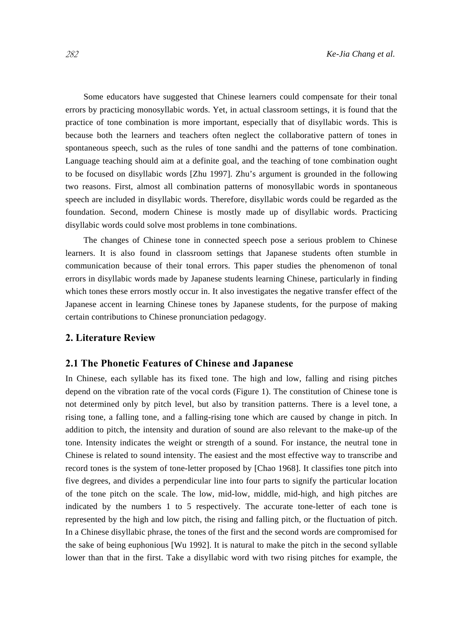Some educators have suggested that Chinese learners could compensate for their tonal errors by practicing monosyllabic words. Yet, in actual classroom settings, it is found that the practice of tone combination is more important, especially that of disyllabic words. This is because both the learners and teachers often neglect the collaborative pattern of tones in spontaneous speech, such as the rules of tone sandhi and the patterns of tone combination. Language teaching should aim at a definite goal, and the teaching of tone combination ought to be focused on disyllabic words [Zhu 1997]. Zhu's argument is grounded in the following two reasons. First, almost all combination patterns of monosyllabic words in spontaneous speech are included in disyllabic words. Therefore, disyllabic words could be regarded as the foundation. Second, modern Chinese is mostly made up of disyllabic words. Practicing disyllabic words could solve most problems in tone combinations.

The changes of Chinese tone in connected speech pose a serious problem to Chinese learners. It is also found in classroom settings that Japanese students often stumble in communication because of their tonal errors. This paper studies the phenomenon of tonal errors in disyllabic words made by Japanese students learning Chinese, particularly in finding which tones these errors mostly occur in. It also investigates the negative transfer effect of the Japanese accent in learning Chinese tones by Japanese students, for the purpose of making certain contributions to Chinese pronunciation pedagogy.

## **2. Literature Review**

#### **2.1 The Phonetic Features of Chinese and Japanese**

In Chinese, each syllable has its fixed tone. The high and low, falling and rising pitches depend on the vibration rate of the vocal cords (Figure 1). The constitution of Chinese tone is not determined only by pitch level, but also by transition patterns. There is a level tone, a rising tone, a falling tone, and a falling-rising tone which are caused by change in pitch. In addition to pitch, the intensity and duration of sound are also relevant to the make-up of the tone. Intensity indicates the weight or strength of a sound. For instance, the neutral tone in Chinese is related to sound intensity. The easiest and the most effective way to transcribe and record tones is the system of tone-letter proposed by [Chao 1968]. It classifies tone pitch into five degrees, and divides a perpendicular line into four parts to signify the particular location of the tone pitch on the scale. The low, mid-low, middle, mid-high, and high pitches are indicated by the numbers 1 to 5 respectively. The accurate tone-letter of each tone is represented by the high and low pitch, the rising and falling pitch, or the fluctuation of pitch. In a Chinese disyllabic phrase, the tones of the first and the second words are compromised for the sake of being euphonious [Wu 1992]. It is natural to make the pitch in the second syllable lower than that in the first. Take a disyllabic word with two rising pitches for example, the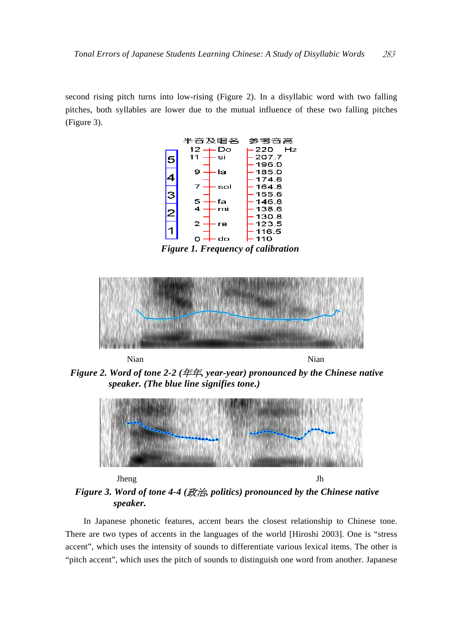second rising pitch turns into low-rising (Figure 2). In a disyllabic word with two falling pitches, both syllables are lower due to the mutual influence of these two falling pitches (Figure 3).



*Figure 1. Frequency of calibration* 



*Figure 2. Word of tone 2-2 (*年年*, year-year) pronounced by the Chinese native speaker. (The blue line signifies tone.)* 



*Figure 3. Word of tone 4-4 (*政治*, politics) pronounced by the Chinese native speaker.* 

In Japanese phonetic features, accent bears the closest relationship to Chinese tone. There are two types of accents in the languages of the world [Hiroshi 2003]. One is "stress accent", which uses the intensity of sounds to differentiate various lexical items. The other is "pitch accent", which uses the pitch of sounds to distinguish one word from another. Japanese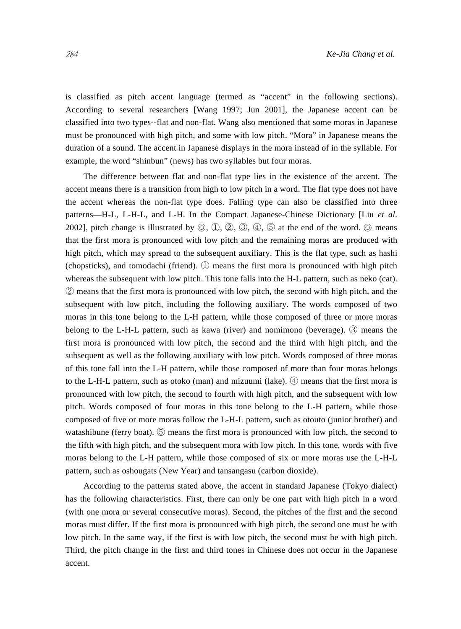is classified as pitch accent language (termed as "accent" in the following sections). According to several researchers [Wang 1997; Jun 2001], the Japanese accent can be classified into two types--flat and non-flat. Wang also mentioned that some moras in Japanese must be pronounced with high pitch, and some with low pitch. "Mora" in Japanese means the duration of a sound. The accent in Japanese displays in the mora instead of in the syllable. For example, the word "shinbun" (news) has two syllables but four moras.

The difference between flat and non-flat type lies in the existence of the accent. The accent means there is a transition from high to low pitch in a word. The flat type does not have the accent whereas the non-flat type does. Falling type can also be classified into three patterns—H-L, L-H-L, and L-H. In the Compact Japanese-Chinese Dictionary [Liu *et al*. 2002], pitch change is illustrated by  $\mathbb{O}$ ,  $\mathbb{O}$ ,  $\mathbb{O}$ ,  $\mathbb{O}$ ,  $\mathbb{O}$ ,  $\mathbb{O}$ ,  $\mathbb{O}$ ,  $\mathbb{O}$ ,  $\mathbb{O}$  at the end of the word.  $\mathbb{O}$  means that the first mora is pronounced with low pitch and the remaining moras are produced with high pitch, which may spread to the subsequent auxiliary. This is the flat type, such as hashi (chopsticks), and tomodachi (friend). ① means the first mora is pronounced with high pitch whereas the subsequent with low pitch. This tone falls into the H-L pattern, such as neko (cat). ② means that the first mora is pronounced with low pitch, the second with high pitch, and the subsequent with low pitch, including the following auxiliary. The words composed of two moras in this tone belong to the L-H pattern, while those composed of three or more moras belong to the L-H-L pattern, such as kawa (river) and nomimono (beverage). ③ means the first mora is pronounced with low pitch, the second and the third with high pitch, and the subsequent as well as the following auxiliary with low pitch. Words composed of three moras of this tone fall into the L-H pattern, while those composed of more than four moras belongs to the L-H-L pattern, such as otoko (man) and mizuumi (lake). ④ means that the first mora is pronounced with low pitch, the second to fourth with high pitch, and the subsequent with low pitch. Words composed of four moras in this tone belong to the L-H pattern, while those composed of five or more moras follow the L-H-L pattern, such as otouto (junior brother) and watashibune (ferry boat). *C* means the first mora is pronounced with low pitch, the second to the fifth with high pitch, and the subsequent mora with low pitch. In this tone, words with five moras belong to the L-H pattern, while those composed of six or more moras use the L-H-L pattern, such as oshougats (New Year) and tansangasu (carbon dioxide).

According to the patterns stated above, the accent in standard Japanese (Tokyo dialect) has the following characteristics. First, there can only be one part with high pitch in a word (with one mora or several consecutive moras). Second, the pitches of the first and the second moras must differ. If the first mora is pronounced with high pitch, the second one must be with low pitch. In the same way, if the first is with low pitch, the second must be with high pitch. Third, the pitch change in the first and third tones in Chinese does not occur in the Japanese accent.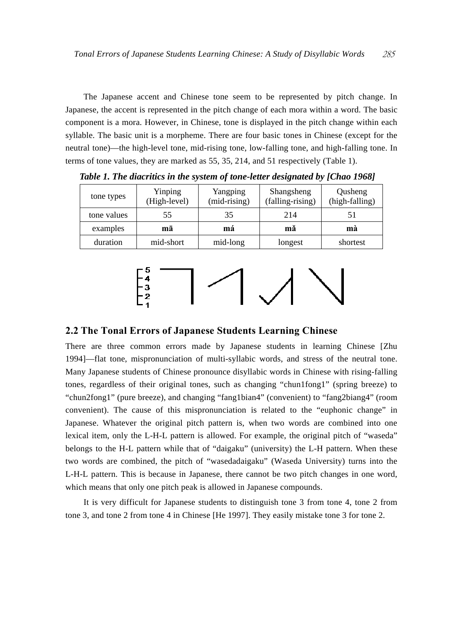The Japanese accent and Chinese tone seem to be represented by pitch change. In Japanese, the accent is represented in the pitch change of each mora within a word. The basic component is a mora. However, in Chinese, tone is displayed in the pitch change within each syllable. The basic unit is a morpheme. There are four basic tones in Chinese (except for the neutral tone)—the high-level tone, mid-rising tone, low-falling tone, and high-falling tone. In terms of tone values, they are marked as 55, 35, 214, and 51 respectively (Table 1).

| tone types  | Yinping<br>(High-level) | Yangping<br>$(mid-rising)$ | Shangsheng<br>(falling-rising) | Qusheng<br>(high-falling) |
|-------------|-------------------------|----------------------------|--------------------------------|---------------------------|
| tone values | 55                      | 35                         | 214                            |                           |
| examples    | mā                      | má                         | mă                             | mà                        |
| duration    | mid-short               | mid-long                   | longest                        | shortest                  |

*Table 1. The diacritics in the system of tone-letter designated by [Chao 1968]* 



#### **2.2 The Tonal Errors of Japanese Students Learning Chinese**

There are three common errors made by Japanese students in learning Chinese [Zhu 1994]—flat tone, mispronunciation of multi-syllabic words, and stress of the neutral tone. Many Japanese students of Chinese pronounce disyllabic words in Chinese with rising-falling tones, regardless of their original tones, such as changing "chun1fong1" (spring breeze) to "chun2fong1" (pure breeze), and changing "fang1bian4" (convenient) to "fang2biang4" (room convenient). The cause of this mispronunciation is related to the "euphonic change" in Japanese. Whatever the original pitch pattern is, when two words are combined into one lexical item, only the L-H-L pattern is allowed. For example, the original pitch of "waseda" belongs to the H-L pattern while that of "daigaku" (university) the L-H pattern. When these two words are combined, the pitch of "wasedadaigaku" (Waseda University) turns into the L-H-L pattern. This is because in Japanese, there cannot be two pitch changes in one word, which means that only one pitch peak is allowed in Japanese compounds.

It is very difficult for Japanese students to distinguish tone 3 from tone 4, tone 2 from tone 3, and tone 2 from tone 4 in Chinese [He 1997]. They easily mistake tone 3 for tone 2.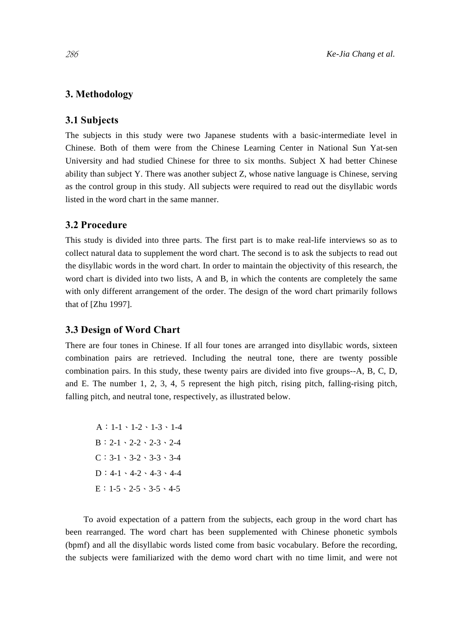## **3. Methodology**

#### **3.1 Subjects**

The subjects in this study were two Japanese students with a basic-intermediate level in Chinese. Both of them were from the Chinese Learning Center in National Sun Yat-sen University and had studied Chinese for three to six months. Subject X had better Chinese ability than subject Y. There was another subject Z, whose native language is Chinese, serving as the control group in this study. All subjects were required to read out the disyllabic words listed in the word chart in the same manner.

## **3.2 Procedure**

This study is divided into three parts. The first part is to make real-life interviews so as to collect natural data to supplement the word chart. The second is to ask the subjects to read out the disyllabic words in the word chart. In order to maintain the objectivity of this research, the word chart is divided into two lists, A and B, in which the contents are completely the same with only different arrangement of the order. The design of the word chart primarily follows that of [Zhu 1997].

## **3.3 Design of Word Chart**

There are four tones in Chinese. If all four tones are arranged into disyllabic words, sixteen combination pairs are retrieved. Including the neutral tone, there are twenty possible combination pairs. In this study, these twenty pairs are divided into five groups--A, B, C, D, and E. The number 1, 2, 3, 4, 5 represent the high pitch, rising pitch, falling-rising pitch, falling pitch, and neutral tone, respectively, as illustrated below.

A:1-1、1-2、1-3、1-4 B:2-1、2-2、2-3、2-4  $C: 3-1 \cdot 3-2 \cdot 3-3 \cdot 3-4$ D:4-1、4-2、4-3、4-4  $E: 1-5 \cdot 2-5 \cdot 3-5 \cdot 4-5$ 

To avoid expectation of a pattern from the subjects, each group in the word chart has been rearranged. The word chart has been supplemented with Chinese phonetic symbols (bpmf) and all the disyllabic words listed come from basic vocabulary. Before the recording, the subjects were familiarized with the demo word chart with no time limit, and were not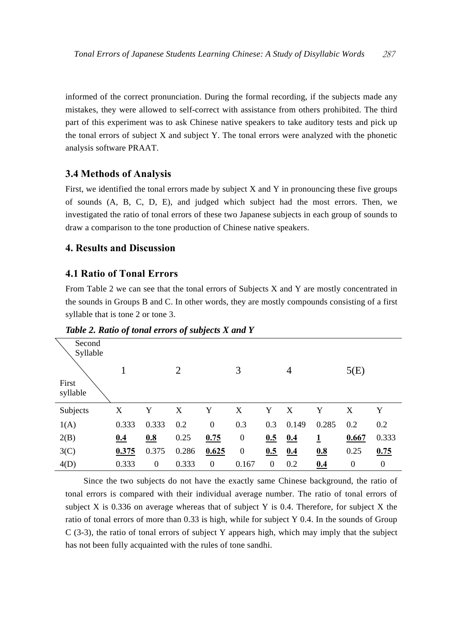informed of the correct pronunciation. During the formal recording, if the subjects made any mistakes, they were allowed to self-correct with assistance from others prohibited. The third part of this experiment was to ask Chinese native speakers to take auditory tests and pick up the tonal errors of subject X and subject Y. The tonal errors were analyzed with the phonetic analysis software PRAAT.

## **3.4 Methods of Analysis**

First, we identified the tonal errors made by subject X and Y in pronouncing these five groups of sounds (A, B, C, D, E), and judged which subject had the most errors. Then, we investigated the ratio of tonal errors of these two Japanese subjects in each group of sounds to draw a comparison to the tone production of Chinese native speakers.

## **4. Results and Discussion**

## **4.1 Ratio of Tonal Errors**

From Table 2 we can see that the tonal errors of Subjects X and Y are mostly concentrated in the sounds in Groups B and C. In other words, they are mostly compounds consisting of a first syllable that is tone 2 or tone 3.

| Tubic 2. Kano of ional cribis of subjects if and I |       |                  |       |                  |                  |          |       |       |                  |                |
|----------------------------------------------------|-------|------------------|-------|------------------|------------------|----------|-------|-------|------------------|----------------|
| Second<br>Syllable<br>First<br>syllable            |       |                  | 2     |                  | 3                |          | 4     |       | 5(E)             |                |
| Subjects                                           | X     | Y                | X     | Y                | X                | Y        | X     | Y     | X                | Y              |
| 1(A)                                               | 0.333 | 0.333            | 0.2   | $\boldsymbol{0}$ | 0.3              | 0.3      | 0.149 | 0.285 | 0.2              | 0.2            |
| 2(B)                                               | 0.4   | 0.8              | 0.25  | 0.75             | $\boldsymbol{0}$ | 0.5      | 0.4   | 1     | 0.667            | 0.333          |
| 3 <sub>C</sub>                                     | 0.375 | 0.375            | 0.286 | 0.625            | $\boldsymbol{0}$ | 0.5      | 0.4   | 0.8   | 0.25             | 0.75           |
| 4(D)                                               | 0.333 | $\boldsymbol{0}$ | 0.333 | $\boldsymbol{0}$ | 0.167            | $\theta$ | 0.2   | 0.4   | $\boldsymbol{0}$ | $\overline{0}$ |

*Table 2. Ratio of tonal errors of subjects X and Y* 

Since the two subjects do not have the exactly same Chinese background, the ratio of tonal errors is compared with their individual average number. The ratio of tonal errors of subject X is  $0.336$  on average whereas that of subject Y is 0.4. Therefore, for subject X the ratio of tonal errors of more than 0.33 is high, while for subject Y 0.4. In the sounds of Group  $C$  (3-3), the ratio of tonal errors of subject Y appears high, which may imply that the subject has not been fully acquainted with the rules of tone sandhi.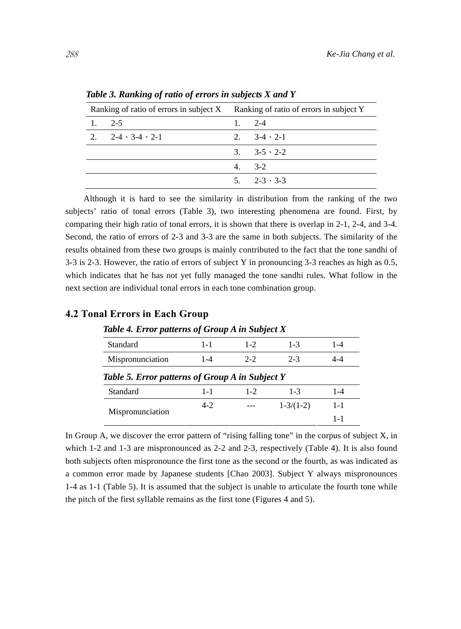| Ranking of ratio of errors in subject X Ranking of ratio of errors in subject Y |                                       |         |                          |  |
|---------------------------------------------------------------------------------|---------------------------------------|---------|--------------------------|--|
| 1. 2-5                                                                          |                                       | 1 $2-4$ |                          |  |
|                                                                                 | $2.2 - 2 - 4 \cdot 3 - 4 \cdot 2 - 1$ |         | 2. $3-4 \cdot 2-1$       |  |
|                                                                                 |                                       |         | $3. 3 - 5 \cdot 2 - 2$   |  |
|                                                                                 |                                       | $4.3-2$ |                          |  |
|                                                                                 |                                       |         | $5. \t2 - 3 \cdot 3 - 3$ |  |

*Table 3. Ranking of ratio of errors in subjects X and Y* 

Although it is hard to see the similarity in distribution from the ranking of the two subjects' ratio of tonal errors (Table 3), two interesting phenomena are found. First, by comparing their high ratio of tonal errors, it is shown that there is overlap in 2-1, 2-4, and 3-4. Second, the ratio of errors of 2-3 and 3-3 are the same in both subjects. The similarity of the results obtained from these two groups is mainly contributed to the fact that the tone sandhi of 3-3 is 2-3. However, the ratio of errors of subject Y in pronouncing 3-3 reaches as high as 0.5, which indicates that he has not yet fully managed the tone sandhi rules. What follow in the next section are individual tonal errors in each tone combination group.

| Table 4. Error patterns of Group A in Subject X |         |         |                 |         |  |  |  |
|-------------------------------------------------|---------|---------|-----------------|---------|--|--|--|
| Standard                                        | $1 - 1$ | $1 - 2$ | $1 - 3$         | $1 - 4$ |  |  |  |
| Mispronunciation                                | $1 - 4$ | $2 - 2$ | $2 - 3$         | 4-4     |  |  |  |
| Table 5. Error patterns of Group A in Subject Y |         |         |                 |         |  |  |  |
| Standard                                        | $1 - 1$ | $1 - 2$ | $1 - 3$         | $1 - 4$ |  |  |  |
|                                                 | $4-2$   |         | $1 - 3/(1 - 2)$ | $1 - 1$ |  |  |  |
| Mispronunciation                                |         |         |                 | 1-1     |  |  |  |

### **4.2 Tonal Errors in Each Group**

In Group A, we discover the error pattern of "rising falling tone" in the corpus of subject X, in which 1-2 and 1-3 are mispronounced as 2-2 and 2-3, respectively (Table 4). It is also found both subjects often mispronounce the first tone as the second or the fourth, as was indicated as a common error made by Japanese students [Chao 2003]. Subject Y always mispronounces 1-4 as 1-1 (Table 5). It is assumed that the subject is unable to articulate the fourth tone while the pitch of the first syllable remains as the first tone (Figures 4 and 5).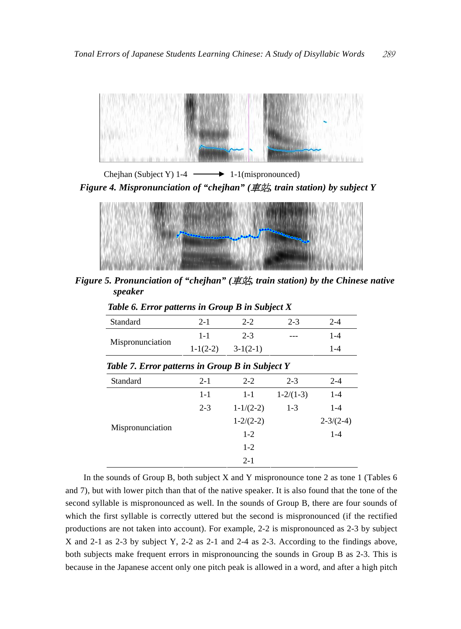

Chejhan (Subject Y)  $1-4$   $\longrightarrow$  1-1(mispronounced) *Figure 4. Mispronunciation of "chejhan" (*車站*, train station) by subject Y* 



*Figure 5. Pronunciation of "chejhan" (*車站*, train station) by the Chinese native speaker* 

| Standard                                        | $2 - 1$    | $2 - 2$         | $2 - 3$         | $2 - 4$         |  |  |  |  |
|-------------------------------------------------|------------|-----------------|-----------------|-----------------|--|--|--|--|
| Mispronunciation                                | $1 - 1$    | $2 - 3$         |                 | $1 - 4$         |  |  |  |  |
|                                                 | $1-1(2-2)$ | $3-1(2-1)$      |                 | $1 - 4$         |  |  |  |  |
| Table 7. Error patterns in Group B in Subject Y |            |                 |                 |                 |  |  |  |  |
| Standard                                        | $2 - 1$    | $2 - 2$         | $2 - 3$         | $2 - 4$         |  |  |  |  |
|                                                 | $1 - 1$    | $1 - 1$         | $1 - 2/(1 - 3)$ | $1 - 4$         |  |  |  |  |
|                                                 | $2 - 3$    | $1 - 1/(2 - 2)$ | $1 - 3$         | $1 - 4$         |  |  |  |  |
|                                                 |            | $1 - 2/(2 - 2)$ |                 | $2 - 3/(2 - 4)$ |  |  |  |  |
| Mispronunciation                                |            | $1 - 2$         |                 | $1 - 4$         |  |  |  |  |
|                                                 |            | $1 - 2$         |                 |                 |  |  |  |  |
|                                                 |            | $2 - 1$         |                 |                 |  |  |  |  |

*Table 6. Error patterns in Group B in Subject X* 

In the sounds of Group B, both subject X and Y mispronounce tone 2 as tone 1 (Tables 6 and 7), but with lower pitch than that of the native speaker. It is also found that the tone of the second syllable is mispronounced as well. In the sounds of Group B, there are four sounds of which the first syllable is correctly uttered but the second is mispronounced (if the rectified productions are not taken into account). For example, 2-2 is mispronounced as 2-3 by subject X and 2-1 as 2-3 by subject Y, 2-2 as 2-1 and 2-4 as 2-3. According to the findings above, both subjects make frequent errors in mispronouncing the sounds in Group B as 2-3. This is because in the Japanese accent only one pitch peak is allowed in a word, and after a high pitch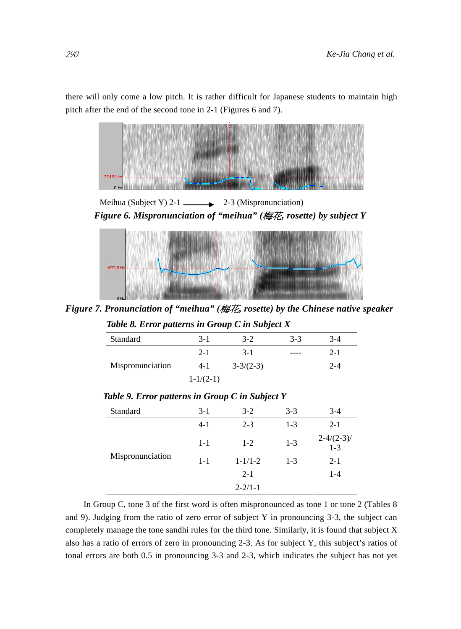there will only come a low pitch. It is rather difficult for Japanese students to maintain high pitch after the end of the second tone in 2-1 (Figures 6 and 7).



Meihua (Subject Y)  $2-1$   $\longrightarrow$  2-3 (Mispronunciation) *Figure 6. Mispronunciation of "meihua" (*梅花*, rosette) by subject Y* 



*Figure 7. Pronunciation of "meihua" (*梅花*, rosette) by the Chinese native speaker* 

| Table 8. Error patterns in Group C in Subject X |                 |                 |       |         |  |  |  |
|-------------------------------------------------|-----------------|-----------------|-------|---------|--|--|--|
| Standard                                        | $3 - 1$         | $3-2$           | $3-3$ | $3-4$   |  |  |  |
|                                                 | $2 - 1$         | $3 - 1$         | ----  | $2 - 1$ |  |  |  |
| Mispronunciation                                | $4-1$           | $3 - 3/(2 - 3)$ |       | $2 - 4$ |  |  |  |
|                                                 | $1 - 1/(2 - 1)$ |                 |       |         |  |  |  |

*Table 9. Error patterns in Group C in Subject Y* 

| Standard         | $3-1$   | $3-2$         | $3 - 3$ | $3-4$                    |  |  |
|------------------|---------|---------------|---------|--------------------------|--|--|
| Mispronunciation | $4-1$   | $2 - 3$       | $1-3$   | $2 - 1$                  |  |  |
|                  | $1 - 1$ | $1 - 2$       | $1 - 3$ | $2 - 4/(2 - 3)$<br>$1-3$ |  |  |
|                  | $1 - 1$ | $1 - 1/1 - 2$ | $1 - 3$ | $2 - 1$                  |  |  |
|                  |         | $2 - 1$       |         | $1-4$                    |  |  |
|                  |         | $2 - 2/1 - 1$ |         |                          |  |  |

In Group C, tone 3 of the first word is often mispronounced as tone 1 or tone 2 (Tables 8 and 9). Judging from the ratio of zero error of subject Y in pronouncing 3-3, the subject can completely manage the tone sandhi rules for the third tone. Similarly, it is found that subject X also has a ratio of errors of zero in pronouncing 2-3. As for subject Y, this subject's ratios of tonal errors are both 0.5 in pronouncing 3-3 and 2-3, which indicates the subject has not yet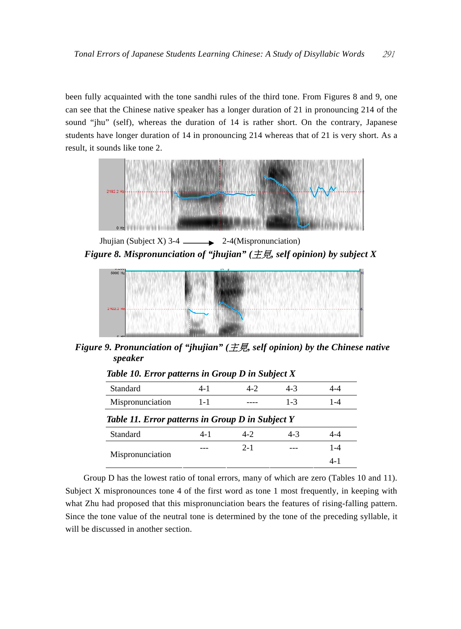been fully acquainted with the tone sandhi rules of the third tone. From Figures 8 and 9, one can see that the Chinese native speaker has a longer duration of 21 in pronouncing 214 of the sound "jhu" (self), whereas the duration of 14 is rather short. On the contrary, Japanese students have longer duration of 14 in pronouncing 214 whereas that of 21 is very short. As a result, it sounds like tone 2.



Jhujian (Subject X) 3-4  $\_\_\_\_\_\_\_\_$  2-4(Mispronunciation) *Figure 8. Mispronunciation of "jhujian" (*主見*, self opinion) by subject X* 



*Figure 9. Pronunciation of "jhujian" (*主見*, self opinion) by the Chinese native speaker* 

| $10000 \pm 0.10101$ published the strong $\geq 0.0000$ |         |         |         |         |  |  |
|--------------------------------------------------------|---------|---------|---------|---------|--|--|
| Standard                                               | $4 - 1$ | $4 - 2$ | $4-3$   | 4-4     |  |  |
| Mispronunciation                                       | $1 - 1$ |         | $1 - 3$ | 1-4     |  |  |
| Table 11. Error patterns in Group D in Subject Y       |         |         |         |         |  |  |
| Standard                                               | $4 - 1$ | $4-2$   | $4-3$   | 4-4     |  |  |
|                                                        |         | $2 - 1$ |         | $1 - 4$ |  |  |
| Mispronunciation                                       |         |         |         | $4 - 1$ |  |  |

*Table 10. Error patterns in Group D in Subject X* 

Group D has the lowest ratio of tonal errors, many of which are zero (Tables 10 and 11). Subject X mispronounces tone 4 of the first word as tone 1 most frequently, in keeping with what Zhu had proposed that this mispronunciation bears the features of rising-falling pattern. Since the tone value of the neutral tone is determined by the tone of the preceding syllable, it will be discussed in another section.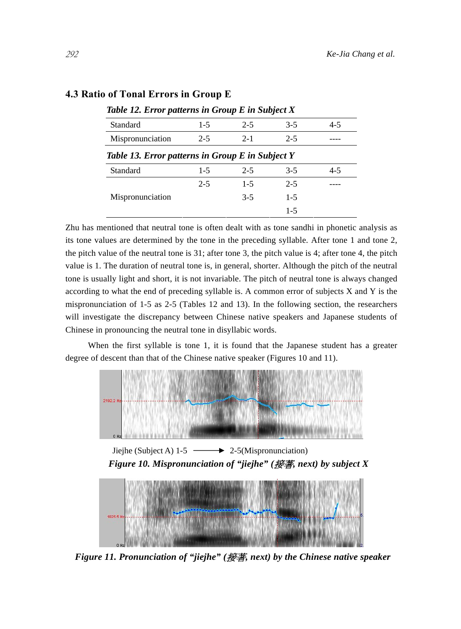| Table 12. Error patterns in Group E in Subject X |         |         |         |         |  |  |  |  |
|--------------------------------------------------|---------|---------|---------|---------|--|--|--|--|
| Standard                                         | $1 - 5$ | $2 - 5$ | $3-5$   | $4 - 5$ |  |  |  |  |
| Mispronunciation                                 | $2 - 5$ | $2 - 1$ | $2 - 5$ |         |  |  |  |  |
| Table 13. Error patterns in Group E in Subject Y |         |         |         |         |  |  |  |  |
| Standard                                         | $1-5$   | $2 - 5$ | $3 - 5$ | $4 - 5$ |  |  |  |  |
|                                                  | $2 - 5$ | $1 - 5$ | $2 - 5$ |         |  |  |  |  |
| Mispronunciation                                 |         | $3 - 5$ | $1 - 5$ |         |  |  |  |  |
|                                                  |         |         | $1 - 5$ |         |  |  |  |  |

## **4.3 Ratio of Tonal Errors in Group E**

Zhu has mentioned that neutral tone is often dealt with as tone sandhi in phonetic analysis as its tone values are determined by the tone in the preceding syllable. After tone 1 and tone 2, the pitch value of the neutral tone is 31; after tone 3, the pitch value is 4; after tone 4, the pitch value is 1. The duration of neutral tone is, in general, shorter. Although the pitch of the neutral tone is usually light and short, it is not invariable. The pitch of neutral tone is always changed according to what the end of preceding syllable is. A common error of subjects X and Y is the mispronunciation of 1-5 as 2-5 (Tables 12 and 13). In the following section, the researchers will investigate the discrepancy between Chinese native speakers and Japanese students of Chinese in pronouncing the neutral tone in disyllabic words.

 When the first syllable is tone 1, it is found that the Japanese student has a greater degree of descent than that of the Chinese native speaker (Figures 10 and 11).



Jiejhe (Subject A)  $1-5$   $\longrightarrow$  2-5(Mispronunciation) *Figure 10. Mispronunciation of "jiejhe" (*接著*, next) by subject X* 



*Figure 11. Pronunciation of "jiejhe" (*接著*, next) by the Chinese native speaker*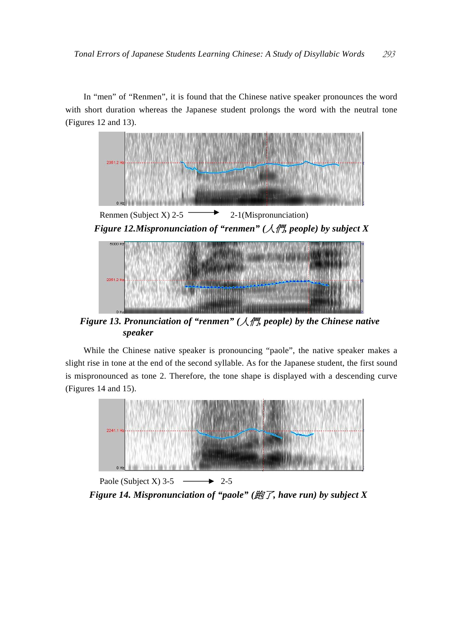In "men" of "Renmen", it is found that the Chinese native speaker pronounces the word with short duration whereas the Japanese student prolongs the word with the neutral tone (Figures 12 and 13).



*Figure 13. Pronunciation of "renmen" (*人們*, people) by the Chinese native speaker* 

While the Chinese native speaker is pronouncing "paole", the native speaker makes a slight rise in tone at the end of the second syllable. As for the Japanese student, the first sound is mispronounced as tone 2. Therefore, the tone shape is displayed with a descending curve (Figures 14 and 15).



Paole (Subject X) 3-5  $\longrightarrow$  2-5 *Figure 14. Mispronunciation of "paole" (*跑了*, have run) by subject X*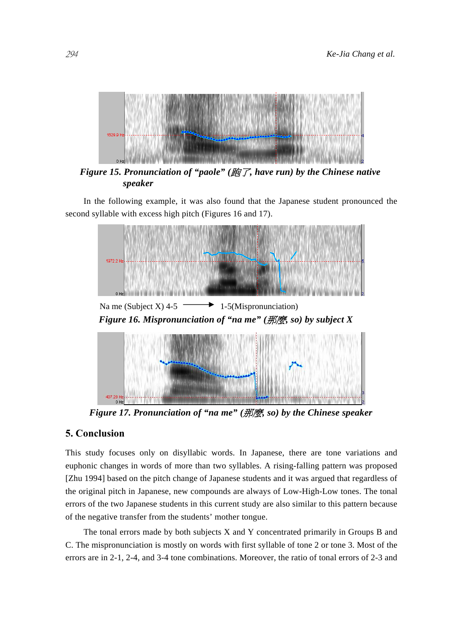

*Figure 15. Pronunciation of "paole" (*跑了*, have run) by the Chinese native speaker* 

In the following example, it was also found that the Japanese student pronounced the second syllable with excess high pitch (Figures 16 and 17).



*Figure 17. Pronunciation of "na me" (*那麼*, so) by the Chinese speaker* 

## **5. Conclusion**

407.28

This study focuses only on disyllabic words. In Japanese, there are tone variations and euphonic changes in words of more than two syllables. A rising-falling pattern was proposed [Zhu 1994] based on the pitch change of Japanese students and it was argued that regardless of the original pitch in Japanese, new compounds are always of Low-High-Low tones. The tonal errors of the two Japanese students in this current study are also similar to this pattern because of the negative transfer from the students' mother tongue.

The tonal errors made by both subjects X and Y concentrated primarily in Groups B and C. The mispronunciation is mostly on words with first syllable of tone 2 or tone 3. Most of the errors are in 2-1, 2-4, and 3-4 tone combinations. Moreover, the ratio of tonal errors of 2-3 and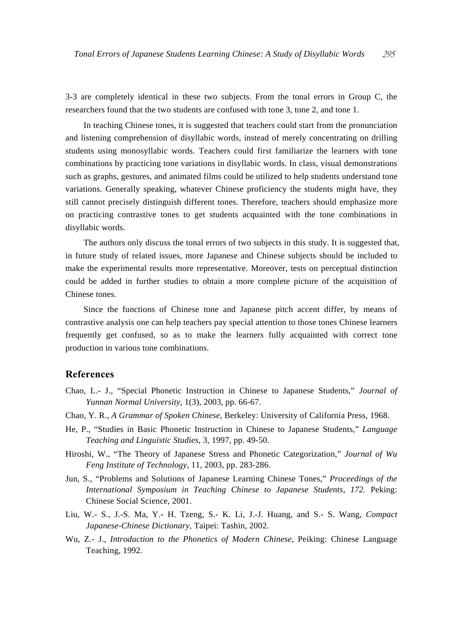3-3 are completely identical in these two subjects. From the tonal errors in Group C, the researchers found that the two students are confused with tone 3, tone 2, and tone 1.

In teaching Chinese tones, it is suggested that teachers could start from the pronunciation and listening comprehension of disyllabic words, instead of merely concentrating on drilling students using monosyllabic words. Teachers could first familiarize the learners with tone combinations by practicing tone variations in disyllabic words. In class, visual demonstrations such as graphs, gestures, and animated films could be utilized to help students understand tone variations. Generally speaking, whatever Chinese proficiency the students might have, they still cannot precisely distinguish different tones. Therefore, teachers should emphasize more on practicing contrastive tones to get students acquainted with the tone combinations in disyllabic words.

The authors only discuss the tonal errors of two subjects in this study. It is suggested that, in future study of related issues, more Japanese and Chinese subjects should be included to make the experimental results more representative. Moreover, tests on perceptual distinction could be added in further studies to obtain a more complete picture of the acquisition of Chinese tones.

Since the functions of Chinese tone and Japanese pitch accent differ, by means of contrastive analysis one can help teachers pay special attention to those tones Chinese learners frequently get confused, so as to make the learners fully acquainted with correct tone production in various tone combinations.

## **References**

- Chao, L.- J., "Special Phonetic Instruction in Chinese to Japanese Students," *Journal of Yunnan Normal University*, 1(3), 2003, pp. 66-67.
- Chao, Y. R., *A Grammar of Spoken Chinese*, Berkeley: University of California Press, 1968.
- He, P., "Studies in Basic Phonetic Instruction in Chinese to Japanese Students," *Language Teaching and Linguistic Studies*, 3, 1997, pp. 49-50.
- Hiroshi, W., "The Theory of Japanese Stress and Phonetic Categorization," *Journal of Wu Feng Institute of Technology,* 11, 2003, pp. 283-286.
- Jun, S., "Problems and Solutions of Japanese Learning Chinese Tones," *Proceedings of the International Symposium in Teaching Chinese to Japanese Students, 172. Peking:* Chinese Social Science, 2001.
- Liu, W.- S., J.-S. Ma, Y.- H. Tzeng, S.- K. Li, J.-J. Huang, and S.- S. Wang, *Compact Japanese-Chinese Dictionary,* Taipei: Tashin, 2002.
- Wu, Z.- J., *Introduction to the Phonetics of Modern Chinese,* Peiking: Chinese Language Teaching, 1992.